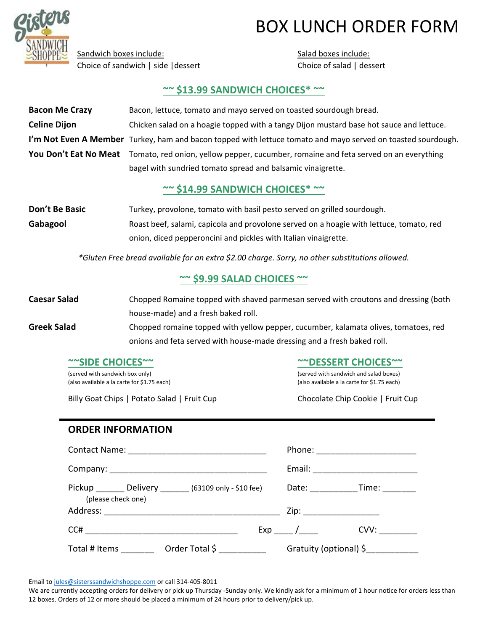

## BOX LUNCH ORDER FORM

Sandwich boxes include: Choice of sandwich | side |dessert Salad boxes include: Choice of salad | dessert

## **~~ \$13.99 SANDWICH CHOICES\* ~~**

| <b>Bacon Me Crazy</b>                                                                           | Bacon, lettuce, tomato and mayo served on toasted sourdough bread.                                           |  |  |  |  |  |  |
|-------------------------------------------------------------------------------------------------|--------------------------------------------------------------------------------------------------------------|--|--|--|--|--|--|
| <b>Celine Dijon</b>                                                                             | Chicken salad on a hoagie topped with a tangy Dijon mustard base hot sauce and lettuce.                      |  |  |  |  |  |  |
|                                                                                                 | I'm Not Even A Member Turkey, ham and bacon topped with lettuce tomato and mayo served on toasted sourdough. |  |  |  |  |  |  |
|                                                                                                 | You Don't Eat No Meat Tomato, red onion, yellow pepper, cucumber, romaine and feta served on an everything   |  |  |  |  |  |  |
|                                                                                                 | bagel with sundried tomato spread and balsamic vinaigrette.                                                  |  |  |  |  |  |  |
|                                                                                                 | $\sim$ \$14.99 SANDWICH CHOICES* $\sim$                                                                      |  |  |  |  |  |  |
| Don't Be Basic                                                                                  | Turkey, provolone, tomato with basil pesto served on grilled sourdough.                                      |  |  |  |  |  |  |
| Gabagool                                                                                        | Roast beef, salami, capicola and provolone served on a hoagie with lettuce, tomato, red                      |  |  |  |  |  |  |
|                                                                                                 | onion, diced pepperoncini and pickles with Italian vinaigrette.                                              |  |  |  |  |  |  |
| *Gluten Free bread available for an extra \$2.00 charge. Sorry, no other substitutions allowed. |                                                                                                              |  |  |  |  |  |  |
|                                                                                                 | $\sim$ \$9.99 SALAD CHOICES $\sim$                                                                           |  |  |  |  |  |  |

**Caesar Salad** Chopped Romaine topped with shaved parmesan served with croutons and dressing (both house‐made) and a fresh baked roll.

**Greek Salad** Chopped romaine topped with yellow pepper, cucumber, kalamata olives, tomatoes, red onions and feta served with house‐made dressing and a fresh baked roll.

#### **~~SIDE CHOICES~~**

(served with sandwich box only) (also available a la carte for \$1.75 each)

Billy Goat Chips | Potato Salad | Fruit Cup

**~~DESSERT CHOICES~~**

(served with sandwich and salad boxes) (also available a la carte for \$1.75 each)

Chocolate Chip Cookie | Fruit Cup

### **ORDER INFORMATION**

|  |  |  |  | Phone: _______________________<br>Email: ____________________________ |      |  |
|--|--|--|--|-----------------------------------------------------------------------|------|--|
|  |  |  |  |                                                                       |      |  |
|  |  |  |  |                                                                       |      |  |
|  |  |  |  | $Exp_$ /                                                              | CVV: |  |
|  |  |  |  | Gratuity (optional) \$____________                                    |      |  |

Email to jules@sisterssandwichshoppe.com or call 314-405-8011

We are currently accepting orders for delivery or pick up Thursday -Sunday only. We kindly ask for a minimum of 1 hour notice for orders less than 12 boxes. Orders of 12 or more should be placed a minimum of 24 hours prior to delivery/pick up.